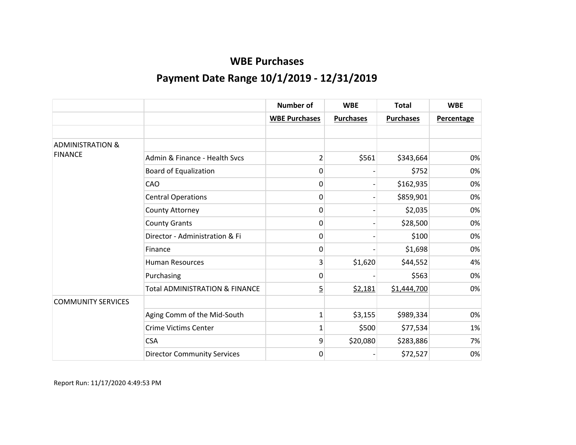|                             |                                           | <b>Number of</b>     | <b>WBE</b>       | <b>Total</b>     | <b>WBE</b>        |
|-----------------------------|-------------------------------------------|----------------------|------------------|------------------|-------------------|
|                             |                                           | <b>WBE Purchases</b> | <b>Purchases</b> | <b>Purchases</b> | <b>Percentage</b> |
|                             |                                           |                      |                  |                  |                   |
| <b>ADMINISTRATION &amp;</b> |                                           |                      |                  |                  |                   |
| <b>FINANCE</b>              | Admin & Finance - Health Sycs             | $\overline{2}$       | \$561            | \$343,664        | 0%                |
|                             | <b>Board of Equalization</b>              | 0                    |                  | \$752            | 0%                |
|                             | CAO                                       | $\Omega$             |                  | \$162,935        | 0%                |
|                             | <b>Central Operations</b>                 | 0                    |                  | \$859,901        | 0%                |
|                             | County Attorney                           | 0                    |                  | \$2,035          | 0%                |
|                             | <b>County Grants</b>                      | 0                    |                  | \$28,500         | 0%                |
|                             | Director - Administration & Fi            | 0                    |                  | \$100            | 0%                |
|                             | Finance                                   | 0                    |                  | \$1,698          | 0%                |
|                             | <b>Human Resources</b>                    | 3 <sub>l</sub>       | \$1,620          | \$44,552         | 4%                |
|                             | Purchasing                                | 0                    |                  | \$563            | 0%                |
|                             | <b>Total ADMINISTRATION &amp; FINANCE</b> | $\overline{5}$       | \$2,181          | \$1,444,700      | 0%                |
| <b>COMMUNITY SERVICES</b>   |                                           |                      |                  |                  |                   |
|                             | Aging Comm of the Mid-South               | 1                    | \$3,155          | \$989,334        | 0%                |
|                             | <b>Crime Victims Center</b>               | 1                    | \$500            | \$77,534         | 1%                |
|                             | <b>CSA</b>                                | 9                    | \$20,080         | \$283,886        | 7%                |
|                             | <b>Director Community Services</b>        | $\mathbf 0$          |                  | \$72,527         | 0%                |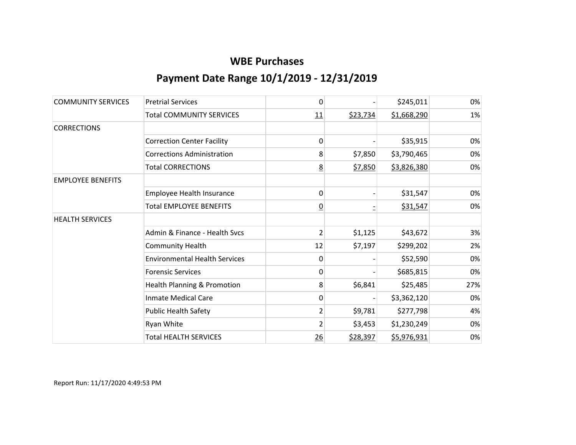| <b>COMMUNITY SERVICES</b> | <b>Pretrial Services</b>             | 0               |          | \$245,011   | 0%  |
|---------------------------|--------------------------------------|-----------------|----------|-------------|-----|
|                           | <b>Total COMMUNITY SERVICES</b>      | 11              | \$23,734 | \$1,668,290 | 1%  |
| <b>CORRECTIONS</b>        |                                      |                 |          |             |     |
|                           | <b>Correction Center Facility</b>    | 0               |          | \$35,915    | 0%  |
|                           | <b>Corrections Administration</b>    | 8               | \$7,850  | \$3,790,465 | 0%  |
|                           | <b>Total CORRECTIONS</b>             | $\underline{8}$ | \$7,850  | \$3,826,380 | 0%  |
| <b>EMPLOYEE BENEFITS</b>  |                                      |                 |          |             |     |
|                           | <b>Employee Health Insurance</b>     | 0               |          | \$31,547    | 0%  |
|                           | <b>Total EMPLOYEE BENEFITS</b>       | $\overline{0}$  |          | \$31,547    | 0%  |
| <b>HEALTH SERVICES</b>    |                                      |                 |          |             |     |
|                           | Admin & Finance - Health Svcs        | 2               | \$1,125  | \$43,672    | 3%  |
|                           | <b>Community Health</b>              | 12              | \$7,197  | \$299,202   | 2%  |
|                           | <b>Environmental Health Services</b> | 0               |          | \$52,590    | 0%  |
|                           | <b>Forensic Services</b>             | 0               |          | \$685,815   | 0%  |
|                           | Health Planning & Promotion          | 8               | \$6,841  | \$25,485    | 27% |
|                           | <b>Inmate Medical Care</b>           | 0               |          | \$3,362,120 | 0%  |
|                           | <b>Public Health Safety</b>          | $\overline{2}$  | \$9,781  | \$277,798   | 4%  |
|                           | Ryan White                           | $\overline{2}$  | \$3,453  | \$1,230,249 | 0%  |
|                           | <b>Total HEALTH SERVICES</b>         | 26              | \$28,397 | \$5,976,931 | 0%  |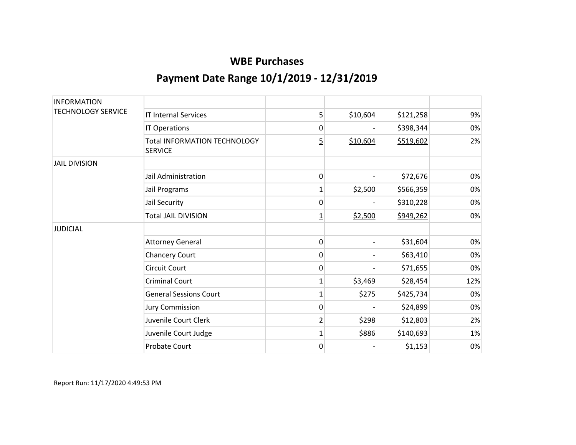| <b>INFORMATION</b>        |                                                       |                |          |           |     |
|---------------------------|-------------------------------------------------------|----------------|----------|-----------|-----|
| <b>TECHNOLOGY SERVICE</b> | <b>IT Internal Services</b>                           | 5              | \$10,604 | \$121,258 | 9%  |
|                           | IT Operations                                         | 0              |          | \$398,344 | 0%  |
|                           | <b>Total INFORMATION TECHNOLOGY</b><br><b>SERVICE</b> | 5              | \$10,604 | \$519,602 | 2%  |
| <b>JAIL DIVISION</b>      |                                                       |                |          |           |     |
|                           | Jail Administration                                   | 0              |          | \$72,676  | 0%  |
|                           | Jail Programs                                         | 1              | \$2,500  | \$566,359 | 0%  |
|                           | Jail Security                                         | 0              |          | \$310,228 | 0%  |
|                           | <b>Total JAIL DIVISION</b>                            | $\overline{1}$ | \$2,500  | \$949,262 | 0%  |
| <b>JUDICIAL</b>           |                                                       |                |          |           |     |
|                           | <b>Attorney General</b>                               | 0              |          | \$31,604  | 0%  |
|                           | <b>Chancery Court</b>                                 | 0              |          | \$63,410  | 0%  |
|                           | <b>Circuit Court</b>                                  | 0              |          | \$71,655  | 0%  |
|                           | <b>Criminal Court</b>                                 | 1              | \$3,469  | \$28,454  | 12% |
|                           | <b>General Sessions Court</b>                         | 1              | \$275    | \$425,734 | 0%  |
|                           | <b>Jury Commission</b>                                | 0              |          | \$24,899  | 0%  |
|                           | Juvenile Court Clerk                                  | $\overline{2}$ | \$298    | \$12,803  | 2%  |
|                           | Juvenile Court Judge                                  | 1              | \$886    | \$140,693 | 1%  |
|                           | <b>Probate Court</b>                                  | 0              |          | \$1,153   | 0%  |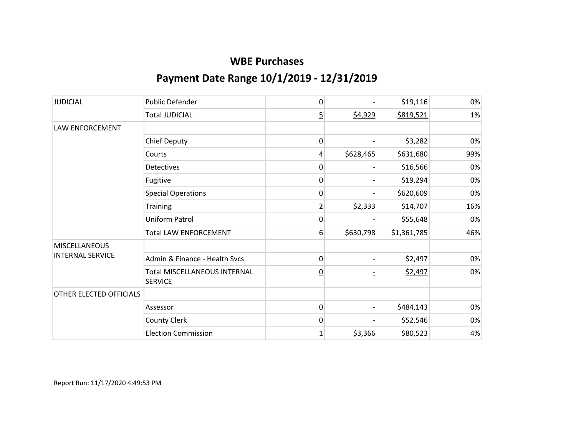| <b>JUDICIAL</b>                                 | <b>Public Defender</b>                                | 0               |           | \$19,116    | 0%  |
|-------------------------------------------------|-------------------------------------------------------|-----------------|-----------|-------------|-----|
|                                                 | <b>Total JUDICIAL</b>                                 | $\overline{5}$  | \$4,929   | \$819,521   | 1%  |
| <b>LAW ENFORCEMENT</b>                          |                                                       |                 |           |             |     |
|                                                 | <b>Chief Deputy</b>                                   | 0               |           | \$3,282     | 0%  |
|                                                 | Courts                                                | 4               | \$628,465 | \$631,680   | 99% |
|                                                 | <b>Detectives</b>                                     | 0               |           | \$16,566    | 0%  |
|                                                 | Fugitive                                              | 0               |           | \$19,294    | 0%  |
|                                                 | <b>Special Operations</b>                             | 0               |           | \$620,609   | 0%  |
|                                                 | <b>Training</b>                                       | $\overline{c}$  | \$2,333   | \$14,707    | 16% |
|                                                 | <b>Uniform Patrol</b>                                 | 0               |           | \$55,648    | 0%  |
|                                                 | <b>Total LAW ENFORCEMENT</b>                          | <u>6</u>        | \$630,798 | \$1,361,785 | 46% |
| <b>MISCELLANEOUS</b><br><b>INTERNAL SERVICE</b> |                                                       |                 |           |             |     |
|                                                 | Admin & Finance - Health Sycs                         | 0               |           | \$2,497     | 0%  |
|                                                 | <b>Total MISCELLANEOUS INTERNAL</b><br><b>SERVICE</b> | $\underline{0}$ |           | \$2,497     | 0%  |
| OTHER ELECTED OFFICIALS                         |                                                       |                 |           |             |     |
|                                                 | Assessor                                              | 0               |           | \$484,143   | 0%  |
|                                                 | County Clerk                                          | 0               |           | \$52,546    | 0%  |
|                                                 | <b>Election Commission</b>                            | 1               | \$3,366   | \$80,523    | 4%  |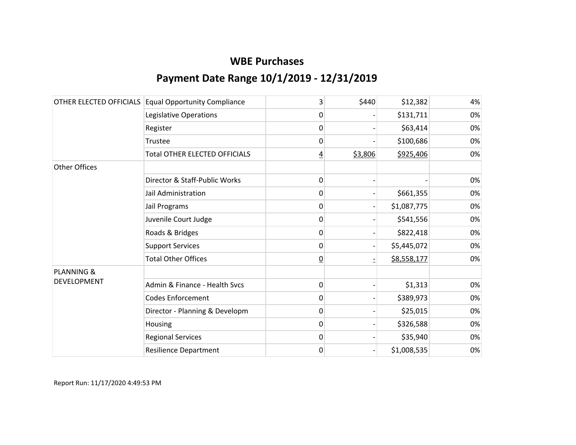| OTHER ELECTED OFFICIALS | <b>Equal Opportunity Compliance</b>  | 3              | \$440   | \$12,382    | 4% |
|-------------------------|--------------------------------------|----------------|---------|-------------|----|
|                         | Legislative Operations               | 0              |         | \$131,711   | 0% |
|                         | Register                             | 0              |         | \$63,414    | 0% |
|                         | Trustee                              | $\mathbf{0}$   |         | \$100,686   | 0% |
|                         | <b>Total OTHER ELECTED OFFICIALS</b> | <u>4</u>       | \$3,806 | \$925,406   | 0% |
| Other Offices           |                                      |                |         |             |    |
|                         | Director & Staff-Public Works        | 0              |         |             | 0% |
|                         | Jail Administration                  | 0              |         | \$661,355   | 0% |
|                         | Jail Programs                        | 0              |         | \$1,087,775 | 0% |
|                         | Juvenile Court Judge                 | 0              |         | \$541,556   | 0% |
|                         | Roads & Bridges                      | 0              |         | \$822,418   | 0% |
|                         | <b>Support Services</b>              | $\mathbf{0}$   |         | \$5,445,072 | 0% |
|                         | <b>Total Other Offices</b>           | $\overline{0}$ |         | \$8,558,177 | 0% |
| <b>PLANNING &amp;</b>   |                                      |                |         |             |    |
| DEVELOPMENT             | Admin & Finance - Health Svcs        | 0              |         | \$1,313     | 0% |
|                         | <b>Codes Enforcement</b>             | 0              |         | \$389,973   | 0% |
|                         | Director - Planning & Developm       | 0              |         | \$25,015    | 0% |
|                         | Housing                              | 0              |         | \$326,588   | 0% |
|                         | <b>Regional Services</b>             | $\mathbf{0}$   |         | \$35,940    | 0% |
|                         | <b>Resilience Department</b>         | 0              |         | \$1,008,535 | 0% |